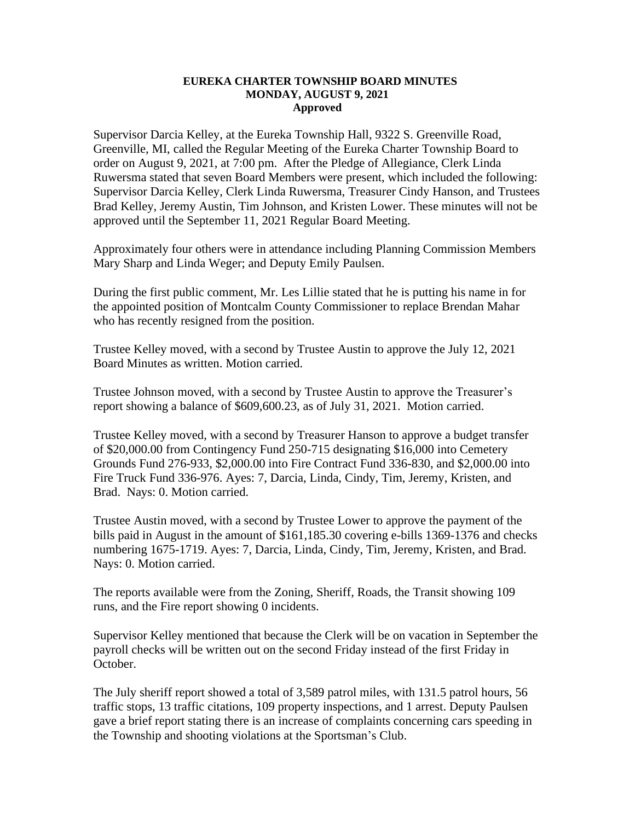## **EUREKA CHARTER TOWNSHIP BOARD MINUTES MONDAY, AUGUST 9, 2021 Approved**

Supervisor Darcia Kelley, at the Eureka Township Hall, 9322 S. Greenville Road, Greenville, MI, called the Regular Meeting of the Eureka Charter Township Board to order on August 9, 2021, at 7:00 pm. After the Pledge of Allegiance, Clerk Linda Ruwersma stated that seven Board Members were present, which included the following: Supervisor Darcia Kelley, Clerk Linda Ruwersma, Treasurer Cindy Hanson, and Trustees Brad Kelley, Jeremy Austin, Tim Johnson, and Kristen Lower. These minutes will not be approved until the September 11, 2021 Regular Board Meeting.

Approximately four others were in attendance including Planning Commission Members Mary Sharp and Linda Weger; and Deputy Emily Paulsen.

During the first public comment, Mr. Les Lillie stated that he is putting his name in for the appointed position of Montcalm County Commissioner to replace Brendan Mahar who has recently resigned from the position.

Trustee Kelley moved, with a second by Trustee Austin to approve the July 12, 2021 Board Minutes as written. Motion carried.

Trustee Johnson moved, with a second by Trustee Austin to approve the Treasurer's report showing a balance of \$609,600.23, as of July 31, 2021. Motion carried.

Trustee Kelley moved, with a second by Treasurer Hanson to approve a budget transfer of \$20,000.00 from Contingency Fund 250-715 designating \$16,000 into Cemetery Grounds Fund 276-933, \$2,000.00 into Fire Contract Fund 336-830, and \$2,000.00 into Fire Truck Fund 336-976. Ayes: 7, Darcia, Linda, Cindy, Tim, Jeremy, Kristen, and Brad. Nays: 0. Motion carried.

Trustee Austin moved, with a second by Trustee Lower to approve the payment of the bills paid in August in the amount of \$161,185.30 covering e-bills 1369-1376 and checks numbering 1675-1719. Ayes: 7, Darcia, Linda, Cindy, Tim, Jeremy, Kristen, and Brad. Nays: 0. Motion carried.

The reports available were from the Zoning, Sheriff, Roads, the Transit showing 109 runs, and the Fire report showing 0 incidents.

Supervisor Kelley mentioned that because the Clerk will be on vacation in September the payroll checks will be written out on the second Friday instead of the first Friday in October.

The July sheriff report showed a total of 3,589 patrol miles, with 131.5 patrol hours, 56 traffic stops, 13 traffic citations, 109 property inspections, and 1 arrest. Deputy Paulsen gave a brief report stating there is an increase of complaints concerning cars speeding in the Township and shooting violations at the Sportsman's Club.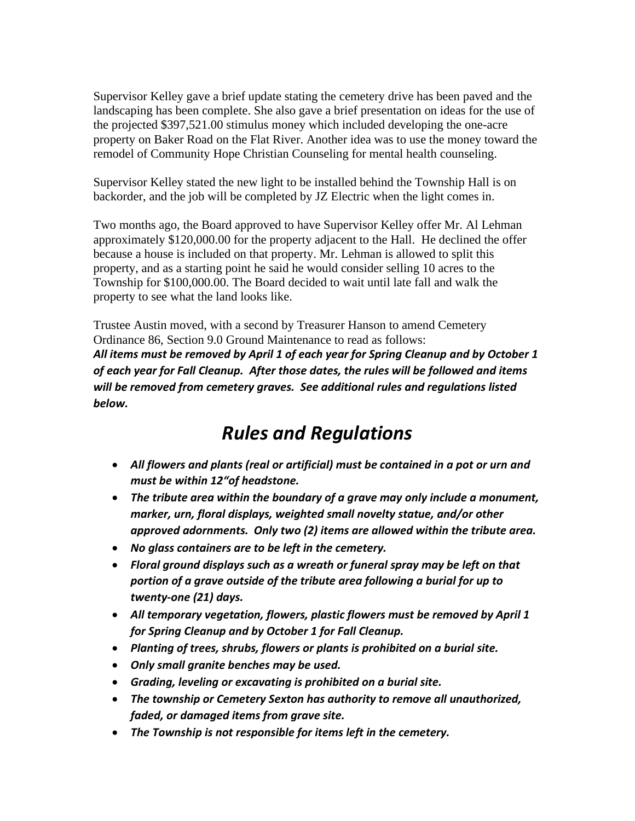Supervisor Kelley gave a brief update stating the cemetery drive has been paved and the landscaping has been complete. She also gave a brief presentation on ideas for the use of the projected \$397,521.00 stimulus money which included developing the one-acre property on Baker Road on the Flat River. Another idea was to use the money toward the remodel of Community Hope Christian Counseling for mental health counseling.

Supervisor Kelley stated the new light to be installed behind the Township Hall is on backorder, and the job will be completed by JZ Electric when the light comes in.

Two months ago, the Board approved to have Supervisor Kelley offer Mr. Al Lehman approximately \$120,000.00 for the property adjacent to the Hall. He declined the offer because a house is included on that property. Mr. Lehman is allowed to split this property, and as a starting point he said he would consider selling 10 acres to the Township for \$100,000.00. The Board decided to wait until late fall and walk the property to see what the land looks like.

Trustee Austin moved, with a second by Treasurer Hanson to amend Cemetery Ordinance 86, Section 9.0 Ground Maintenance to read as follows: *All items must be removed by April 1 of each year for Spring Cleanup and by October 1 of each year for Fall Cleanup. After those dates, the rules will be followed and items will be removed from cemetery graves. See additional rules and regulations listed below.*

## *Rules and Regulations*

- *All flowers and plants (real or artificial) must be contained in a pot or urn and must be within 12"of headstone.*
- *The tribute area within the boundary of a grave may only include a monument, marker, urn, floral displays, weighted small novelty statue, and/or other approved adornments. Only two (2) items are allowed within the tribute area.*
- *No glass containers are to be left in the cemetery.*
- *Floral ground displays such as a wreath or funeral spray may be left on that portion of a grave outside of the tribute area following a burial for up to twenty-one (21) days.*
- *All temporary vegetation, flowers, plastic flowers must be removed by April 1 for Spring Cleanup and by October 1 for Fall Cleanup.*
- *Planting of trees, shrubs, flowers or plants is prohibited on a burial site.*
- *Only small granite benches may be used.*
- *Grading, leveling or excavating is prohibited on a burial site.*
- *The township or Cemetery Sexton has authority to remove all unauthorized, faded, or damaged items from grave site.*
- *The Township is not responsible for items left in the cemetery.*